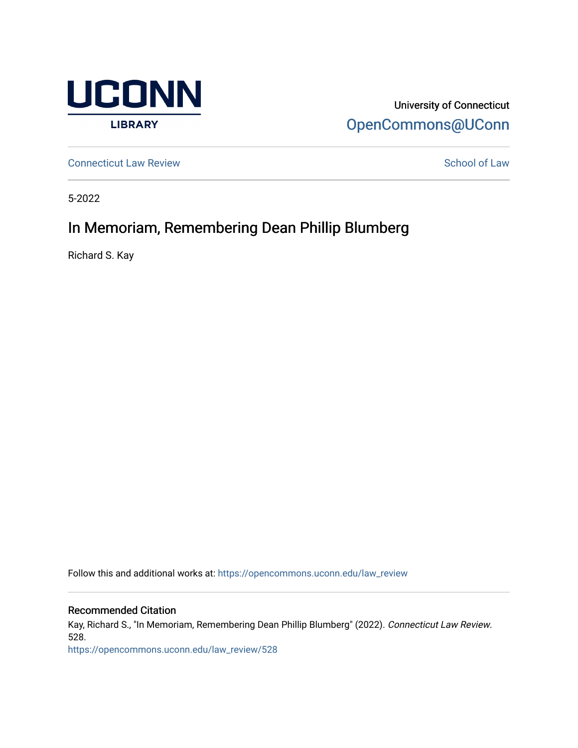

University of Connecticut [OpenCommons@UConn](https://opencommons.uconn.edu/) 

**[Connecticut Law Review](https://opencommons.uconn.edu/law_review) [School of Law](https://opencommons.uconn.edu/sol) Review School of Law School of Law School of Law School of Law School of Law School of Law School of Law School of Law School of Law School of Law School of Law School of Law School of** 

5-2022

## In Memoriam, Remembering Dean Phillip Blumberg

Richard S. Kay

Follow this and additional works at: [https://opencommons.uconn.edu/law\\_review](https://opencommons.uconn.edu/law_review?utm_source=opencommons.uconn.edu%2Flaw_review%2F528&utm_medium=PDF&utm_campaign=PDFCoverPages)

Recommended Citation

Kay, Richard S., "In Memoriam, Remembering Dean Phillip Blumberg" (2022). Connecticut Law Review. 528.

[https://opencommons.uconn.edu/law\\_review/528](https://opencommons.uconn.edu/law_review/528?utm_source=opencommons.uconn.edu%2Flaw_review%2F528&utm_medium=PDF&utm_campaign=PDFCoverPages)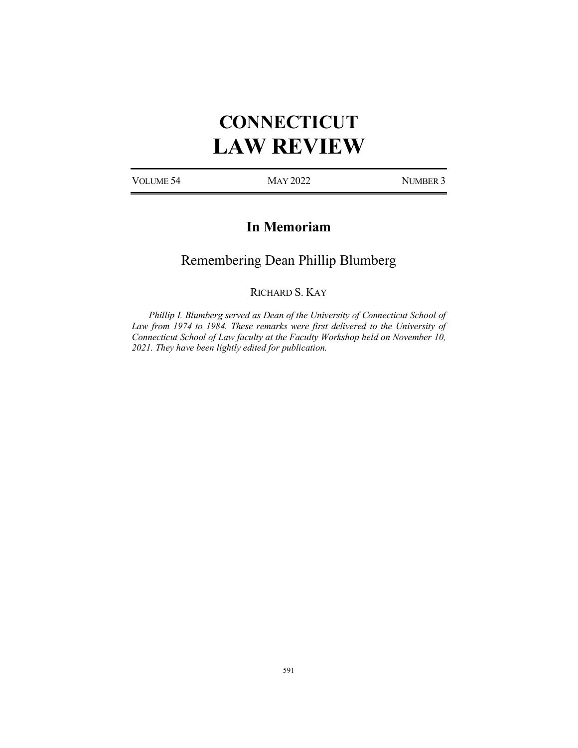# **CONNECTICUT LAW REVIEW**

VOLUME 54 MAY 2022 NUMBER 3

## **In Memoriam**

### Remembering Dean Phillip Blumberg

RICHARD S. KAY

*Phillip I. Blumberg served as Dean of the University of Connecticut School of Law from 1974 to 1984. These remarks were first delivered to the University of Connecticut School of Law faculty at the Faculty Workshop held on November 10, 2021. They have been lightly edited for publication.*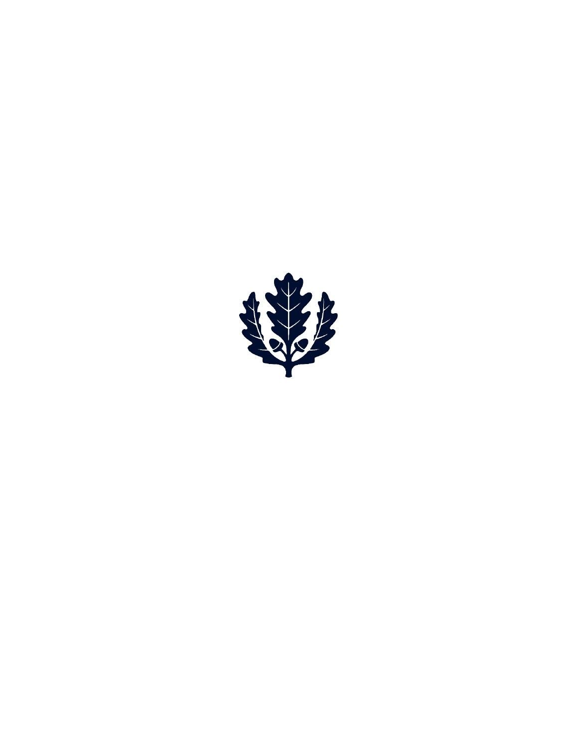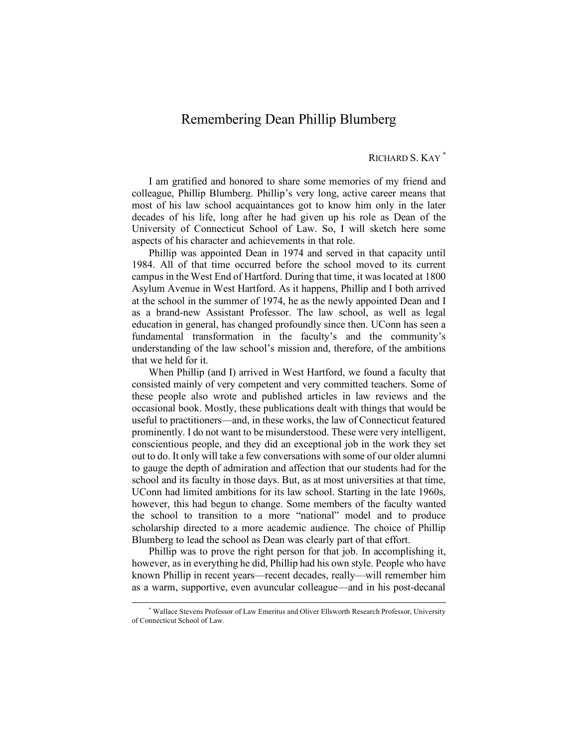#### Remembering Dean Phillip Blumberg

#### RICHARD S. KAY \*

I am gratified and honored to share some memories of my friend and colleague, Phillip Blumberg. Phillip's very long, active career means that most of his law school acquaintances got to know him only in the later decades of his life, long after he had given up his role as Dean of the University of Connecticut School of Law. So, I will sketch here some aspects of his character and achievements in that role.

Phillip was appointed Dean in 1974 and served in that capacity until 1984. All of that time occurred before the school moved to its current campus in the West End of Hartford. During that time, it was located at 1800 Asylum Avenue in West Hartford. As it happens, Phillip and I both arrived at the school in the summer of 1974, he as the newly appointed Dean and I as a brand-new Assistant Professor. The law school, as well as legal education in general, has changed profoundly since then. UConn has seen a fundamental transformation in the faculty's and the community's understanding of the law school's mission and, therefore, of the ambitions that we held for it.

When Phillip (and I) arrived in West Hartford, we found a faculty that consisted mainly of very competent and very committed teachers. Some of these people also wrote and published articles in law reviews and the occasional book. Mostly, these publications dealt with things that would be useful to practitioners—and, in these works, the law of Connecticut featured prominently. I do not want to be misunderstood. These were very intelligent, conscientious people, and they did an exceptional job in the work they set out to do. It only will take a few conversations with some of our older alumni to gauge the depth of admiration and affection that our students had for the school and its faculty in those days. But, as at most universities at that time, UConn had limited ambitions for its law school. Starting in the late 1960s, however, this had begun to change. Some members of the faculty wanted the school to transition to a more "national" model and to produce scholarship directed to a more academic audience. The choice of Phillip Blumberg to lead the school as Dean was clearly part of that effort.

Phillip was to prove the right person for that job. In accomplishing it, however, as in everything he did, Phillip had his own style. People who have known Phillip in recent years—recent decades, really—will remember him as a warm, supportive, even avuncular colleague—and in his post-decanal

 <sup>\*</sup> Wallace Stevens Professor of Law Emeritus and Oliver Ellsworth Research Professor, University of Connecticut School of Law.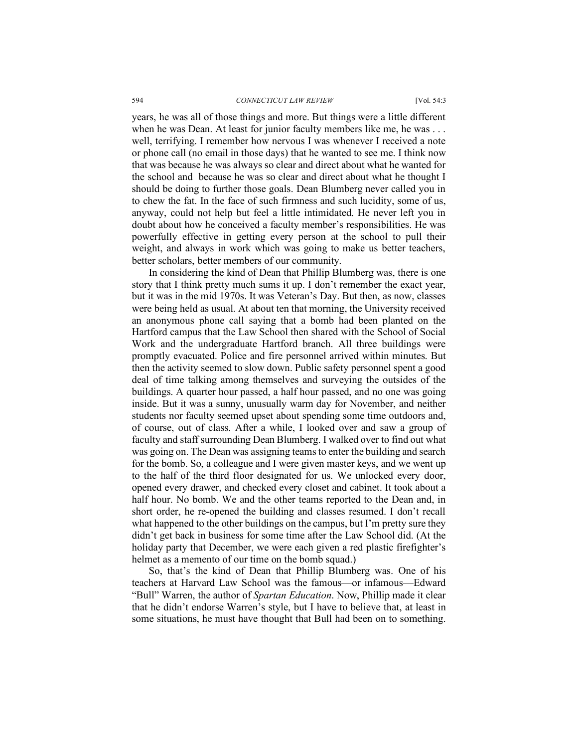years, he was all of those things and more. But things were a little different when he was Dean. At least for junior faculty members like me, he was . . . well, terrifying. I remember how nervous I was whenever I received a note or phone call (no email in those days) that he wanted to see me. I think now that was because he was always so clear and direct about what he wanted for the school and because he was so clear and direct about what he thought I should be doing to further those goals. Dean Blumberg never called you in to chew the fat. In the face of such firmness and such lucidity, some of us, anyway, could not help but feel a little intimidated. He never left you in doubt about how he conceived a faculty member's responsibilities. He was powerfully effective in getting every person at the school to pull their weight, and always in work which was going to make us better teachers, better scholars, better members of our community.

In considering the kind of Dean that Phillip Blumberg was, there is one story that I think pretty much sums it up. I don't remember the exact year, but it was in the mid 1970s. It was Veteran's Day. But then, as now, classes were being held as usual. At about ten that morning, the University received an anonymous phone call saying that a bomb had been planted on the Hartford campus that the Law School then shared with the School of Social Work and the undergraduate Hartford branch. All three buildings were promptly evacuated. Police and fire personnel arrived within minutes. But then the activity seemed to slow down. Public safety personnel spent a good deal of time talking among themselves and surveying the outsides of the buildings. A quarter hour passed, a half hour passed, and no one was going inside. But it was a sunny, unusually warm day for November, and neither students nor faculty seemed upset about spending some time outdoors and, of course, out of class. After a while, I looked over and saw a group of faculty and staff surrounding Dean Blumberg. I walked over to find out what was going on. The Dean was assigning teams to enter the building and search for the bomb. So, a colleague and I were given master keys, and we went up to the half of the third floor designated for us. We unlocked every door, opened every drawer, and checked every closet and cabinet. It took about a half hour. No bomb. We and the other teams reported to the Dean and, in short order, he re-opened the building and classes resumed. I don't recall what happened to the other buildings on the campus, but I'm pretty sure they didn't get back in business for some time after the Law School did. (At the holiday party that December, we were each given a red plastic firefighter's helmet as a memento of our time on the bomb squad.)

So, that's the kind of Dean that Phillip Blumberg was. One of his teachers at Harvard Law School was the famous—or infamous—Edward "Bull" Warren, the author of *Spartan Education*. Now, Phillip made it clear that he didn't endorse Warren's style, but I have to believe that, at least in some situations, he must have thought that Bull had been on to something.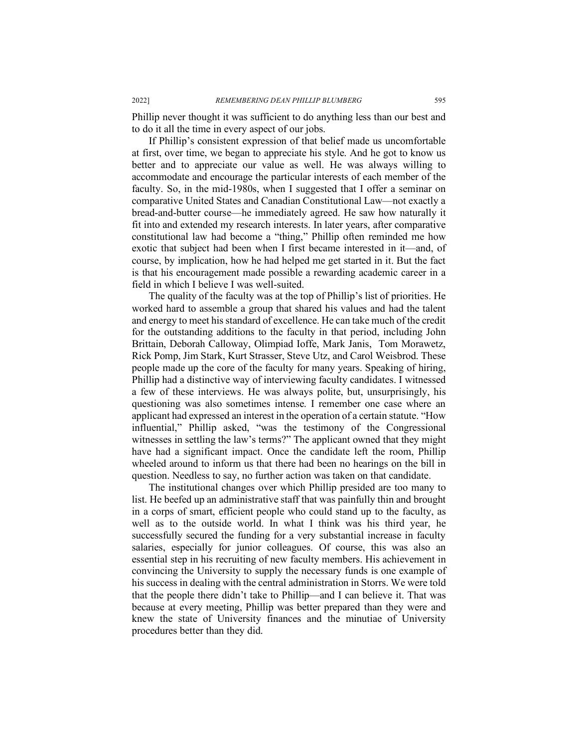Phillip never thought it was sufficient to do anything less than our best and to do it all the time in every aspect of our jobs.

If Phillip's consistent expression of that belief made us uncomfortable at first, over time, we began to appreciate his style. And he got to know us better and to appreciate our value as well. He was always willing to accommodate and encourage the particular interests of each member of the faculty. So, in the mid-1980s, when I suggested that I offer a seminar on comparative United States and Canadian Constitutional Law—not exactly a bread-and-butter course—he immediately agreed. He saw how naturally it fit into and extended my research interests. In later years, after comparative constitutional law had become a "thing," Phillip often reminded me how exotic that subject had been when I first became interested in it—and, of course, by implication, how he had helped me get started in it. But the fact is that his encouragement made possible a rewarding academic career in a field in which I believe I was well-suited.

The quality of the faculty was at the top of Phillip's list of priorities. He worked hard to assemble a group that shared his values and had the talent and energy to meet his standard of excellence. He can take much of the credit for the outstanding additions to the faculty in that period, including John Brittain, Deborah Calloway, Olimpiad Ioffe, Mark Janis, Tom Morawetz, Rick Pomp, Jim Stark, Kurt Strasser, Steve Utz, and Carol Weisbrod. These people made up the core of the faculty for many years. Speaking of hiring, Phillip had a distinctive way of interviewing faculty candidates. I witnessed a few of these interviews. He was always polite, but, unsurprisingly, his questioning was also sometimes intense. I remember one case where an applicant had expressed an interest in the operation of a certain statute. "How influential," Phillip asked, "was the testimony of the Congressional witnesses in settling the law's terms?" The applicant owned that they might have had a significant impact. Once the candidate left the room, Phillip wheeled around to inform us that there had been no hearings on the bill in question. Needless to say, no further action was taken on that candidate.

The institutional changes over which Phillip presided are too many to list. He beefed up an administrative staff that was painfully thin and brought in a corps of smart, efficient people who could stand up to the faculty, as well as to the outside world. In what I think was his third year, he successfully secured the funding for a very substantial increase in faculty salaries, especially for junior colleagues. Of course, this was also an essential step in his recruiting of new faculty members. His achievement in convincing the University to supply the necessary funds is one example of his success in dealing with the central administration in Storrs. We were told that the people there didn't take to Phillip—and I can believe it. That was because at every meeting, Phillip was better prepared than they were and knew the state of University finances and the minutiae of University procedures better than they did.